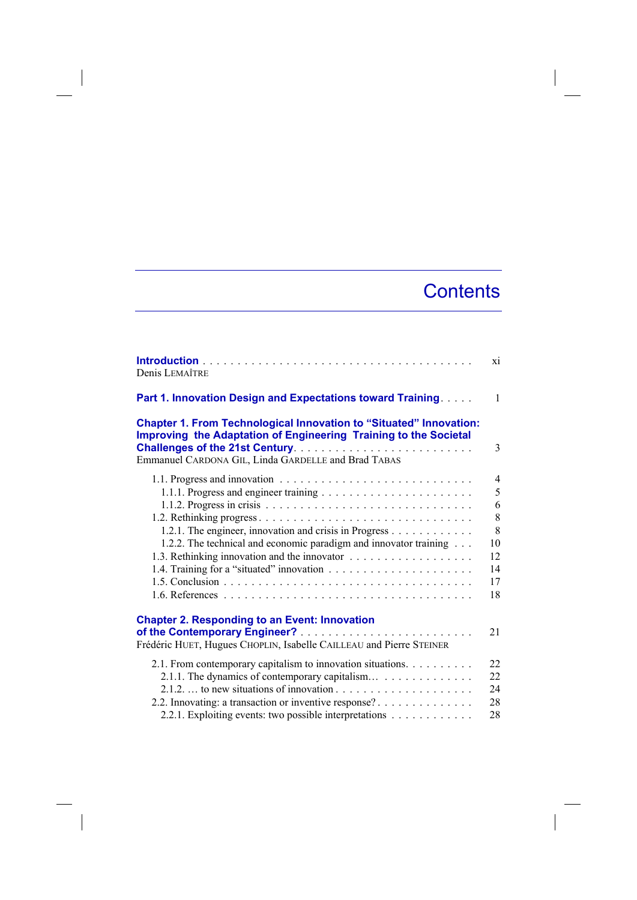## **Contents**

 $\overline{\phantom{a}}$ 

| Denis LEMAÎTRE                                                                                                                                                                                       | xi             |
|------------------------------------------------------------------------------------------------------------------------------------------------------------------------------------------------------|----------------|
| Part 1. Innovation Design and Expectations toward Training.                                                                                                                                          | $\mathbf{1}$   |
| <b>Chapter 1. From Technological Innovation to "Situated" Innovation:</b><br>Improving the Adaptation of Engineering Training to the Societal<br>Emmanuel CARDONA GIL, Linda GARDELLE and Brad TABAS | 3              |
|                                                                                                                                                                                                      | $\overline{4}$ |
|                                                                                                                                                                                                      | 5              |
|                                                                                                                                                                                                      | 6              |
|                                                                                                                                                                                                      | 8              |
| 1.2.1. The engineer, innovation and crisis in Progress                                                                                                                                               | 8              |
| 1.2.2. The technical and economic paradigm and innovator training                                                                                                                                    | 10             |
|                                                                                                                                                                                                      | 12             |
|                                                                                                                                                                                                      | 14             |
|                                                                                                                                                                                                      | 17             |
|                                                                                                                                                                                                      | 18             |
| <b>Chapter 2. Responding to an Event: Innovation</b><br>Frédéric HUET, Hugues CHOPLIN, Isabelle CAILLEAU and Pierre STEINER                                                                          | 21             |
| 2.1. From contemporary capitalism to innovation situations.                                                                                                                                          | 22             |
| 2.1.1. The dynamics of contemporary capitalism                                                                                                                                                       | 22             |
|                                                                                                                                                                                                      | 24             |
| 2.2. Innovating: a transaction or inventive response?                                                                                                                                                | 28             |
| 2.2.1. Exploiting events: two possible interpretations                                                                                                                                               | 28             |

 $\begin{array}{c} \hline \end{array}$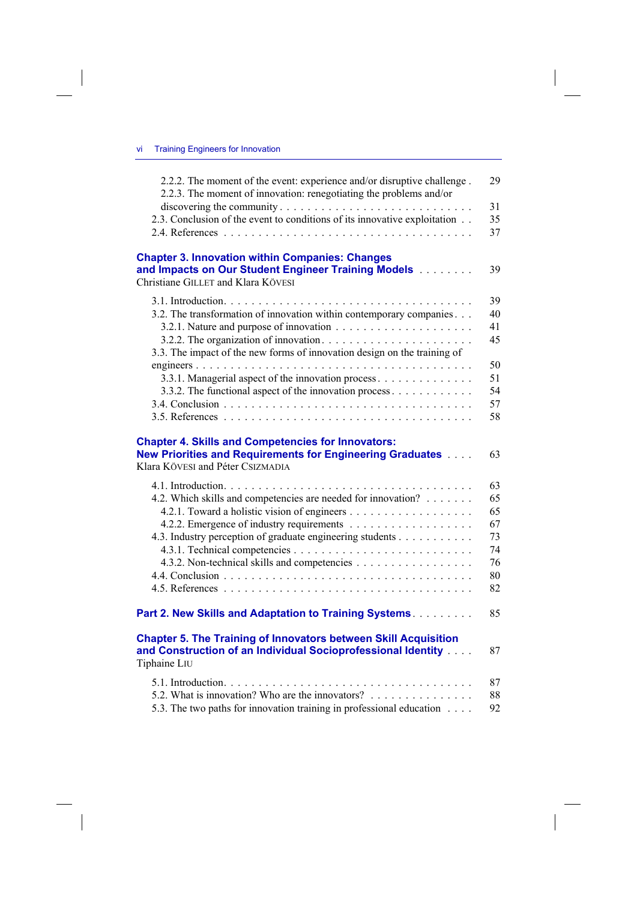$\overline{\phantom{a}}$ 

 $\overline{\phantom{a}}$ 

| 2.2.3. The moment of innovation: renegotiating the problems and/or<br>2.3. Conclusion of the event to conditions of its innovative exploitation                                                                                                                                           | 31<br>35<br>37                                     |
|-------------------------------------------------------------------------------------------------------------------------------------------------------------------------------------------------------------------------------------------------------------------------------------------|----------------------------------------------------|
| <b>Chapter 3. Innovation within Companies: Changes</b><br>and Impacts on Our Student Engineer Training Models<br>Christiane GILLET and Klara KÖVESI                                                                                                                                       | 39                                                 |
| 3.2. The transformation of innovation within contemporary companies<br>3.3. The impact of the new forms of innovation design on the training of<br>3.3.1. Managerial aspect of the innovation process<br>3.3.2. The functional aspect of the innovation process $\dots \dots \dots \dots$ | 39<br>40<br>41<br>45<br>50<br>51<br>54<br>57<br>58 |
| <b>Chapter 4. Skills and Competencies for Innovators:</b><br>New Priorities and Requirements for Engineering Graduates<br>Klara KÖVESI and Péter CSIZMADIA                                                                                                                                | 63                                                 |
| 4.2. Which skills and competencies are needed for innovation?<br>4.3. Industry perception of graduate engineering students<br>4.3.2. Non-technical skills and competencies                                                                                                                | 63<br>65<br>65<br>67<br>73<br>74<br>76<br>80<br>82 |
| Part 2. New Skills and Adaptation to Training Systems.                                                                                                                                                                                                                                    | 85                                                 |
|                                                                                                                                                                                                                                                                                           |                                                    |
| <b>Chapter 5. The Training of Innovators between Skill Acquisition</b><br>and Construction of an Individual Socioprofessional Identity<br>Tiphaine LIU                                                                                                                                    | 87                                                 |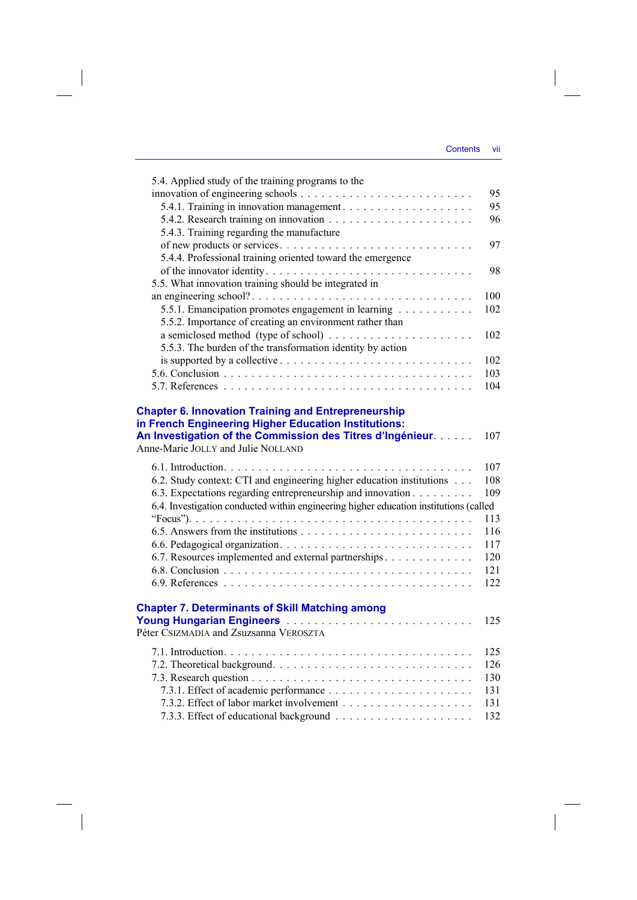$\overline{\phantom{a}}$ 

| 5.4. Applied study of the training programs to the                                                                                                                                                                     |     |
|------------------------------------------------------------------------------------------------------------------------------------------------------------------------------------------------------------------------|-----|
|                                                                                                                                                                                                                        | 95  |
|                                                                                                                                                                                                                        | 95  |
|                                                                                                                                                                                                                        | 96  |
| 5.4.3. Training regarding the manufacture                                                                                                                                                                              |     |
|                                                                                                                                                                                                                        | 97  |
| 5.4.4. Professional training oriented toward the emergence                                                                                                                                                             |     |
| of the innovator identity                                                                                                                                                                                              | 98  |
| 5.5. What innovation training should be integrated in                                                                                                                                                                  |     |
|                                                                                                                                                                                                                        | 100 |
| 5.5.1. Emancipation promotes engagement in learning                                                                                                                                                                    | 102 |
| 5.5.2. Importance of creating an environment rather than                                                                                                                                                               |     |
|                                                                                                                                                                                                                        | 102 |
| 5.5.3. The burden of the transformation identity by action                                                                                                                                                             |     |
|                                                                                                                                                                                                                        | 102 |
|                                                                                                                                                                                                                        | 103 |
|                                                                                                                                                                                                                        | 104 |
|                                                                                                                                                                                                                        |     |
| <b>Chapter 6. Innovation Training and Entrepreneurship</b><br>in French Engineering Higher Education Institutions:<br>An Investigation of the Commission des Titres d'Ingénieur.<br>Anne-Marie JOLLY and Julie NOLLAND | 107 |
|                                                                                                                                                                                                                        | 107 |
| 6.2. Study context: CTI and engineering higher education institutions                                                                                                                                                  | 108 |
| 6.3. Expectations regarding entrepreneurship and innovation                                                                                                                                                            | 109 |
| 6.4. Investigation conducted within engineering higher education institutions (called                                                                                                                                  |     |
|                                                                                                                                                                                                                        | 113 |
|                                                                                                                                                                                                                        | 116 |
|                                                                                                                                                                                                                        | 117 |
| 6.7. Resources implemented and external partnerships                                                                                                                                                                   | 120 |
|                                                                                                                                                                                                                        | 121 |
|                                                                                                                                                                                                                        | 122 |
|                                                                                                                                                                                                                        |     |
| <b>Chapter 7. Determinants of Skill Matching among</b>                                                                                                                                                                 |     |
| Young Hungarian Engineers                                                                                                                                                                                              | 125 |
| Péter CSIZMADIA and Zsuzsanna VEROSZTA                                                                                                                                                                                 |     |
|                                                                                                                                                                                                                        | 125 |
|                                                                                                                                                                                                                        | 126 |
|                                                                                                                                                                                                                        | 130 |
|                                                                                                                                                                                                                        | 131 |
|                                                                                                                                                                                                                        | 131 |
|                                                                                                                                                                                                                        | 132 |
|                                                                                                                                                                                                                        |     |

 $\begin{array}{c} \hline \end{array}$ 

 $\mathcal{L}^{\mathcal{L}}$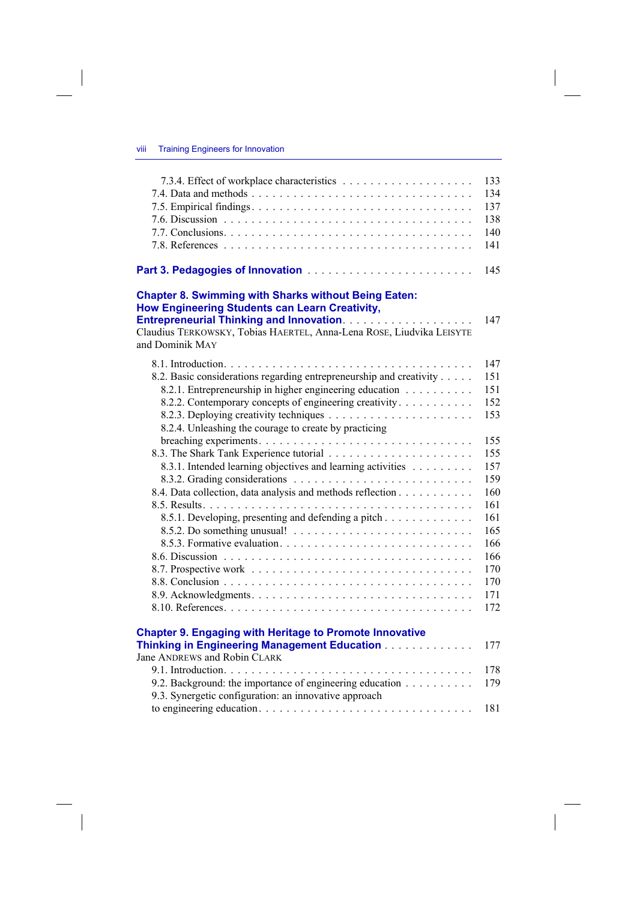$\overline{\phantom{a}}$ 

 $\begin{array}{c} \hline \end{array}$ 

|                                                                                         | 133 |
|-----------------------------------------------------------------------------------------|-----|
|                                                                                         | 134 |
|                                                                                         | 137 |
|                                                                                         | 138 |
|                                                                                         | 140 |
|                                                                                         | 141 |
|                                                                                         |     |
|                                                                                         | 145 |
| <b>Chapter 8. Swimming with Sharks without Being Eaten:</b>                             |     |
| How Engineering Students can Learn Creativity,                                          |     |
|                                                                                         | 147 |
| Claudius TERKOWSKY, Tobias HAERTEL, Anna-Lena ROSE, Liudvika LEISYTE<br>and Dominik MAY |     |
|                                                                                         | 147 |
| 8.2. Basic considerations regarding entrepreneurship and creativity                     | 151 |
| 8.2.1. Entrepreneurship in higher engineering education                                 | 151 |
| 8.2.2. Contemporary concepts of engineering creativity                                  | 152 |
|                                                                                         | 153 |
| 8.2.4. Unleashing the courage to create by practicing                                   |     |
|                                                                                         | 155 |
|                                                                                         | 155 |
| 8.3.1. Intended learning objectives and learning activities                             | 157 |
|                                                                                         | 159 |
| 8.4. Data collection, data analysis and methods reflection                              | 160 |
|                                                                                         | 161 |
| 8.5.1. Developing, presenting and defending a pitch                                     | 161 |
|                                                                                         | 165 |
|                                                                                         | 166 |
|                                                                                         | 166 |
|                                                                                         | 170 |
|                                                                                         | 170 |
|                                                                                         | 171 |
|                                                                                         | 172 |
| <b>Chapter 9. Engaging with Heritage to Promote Innovative</b>                          |     |
| Thinking in Engineering Management Education                                            | 177 |
| Jane ANDREWS and Robin CLARK                                                            |     |
|                                                                                         | 178 |
| 9.2. Background: the importance of engineering education                                | 179 |
| 9.3. Synergetic configuration: an innovative approach                                   |     |
|                                                                                         | 181 |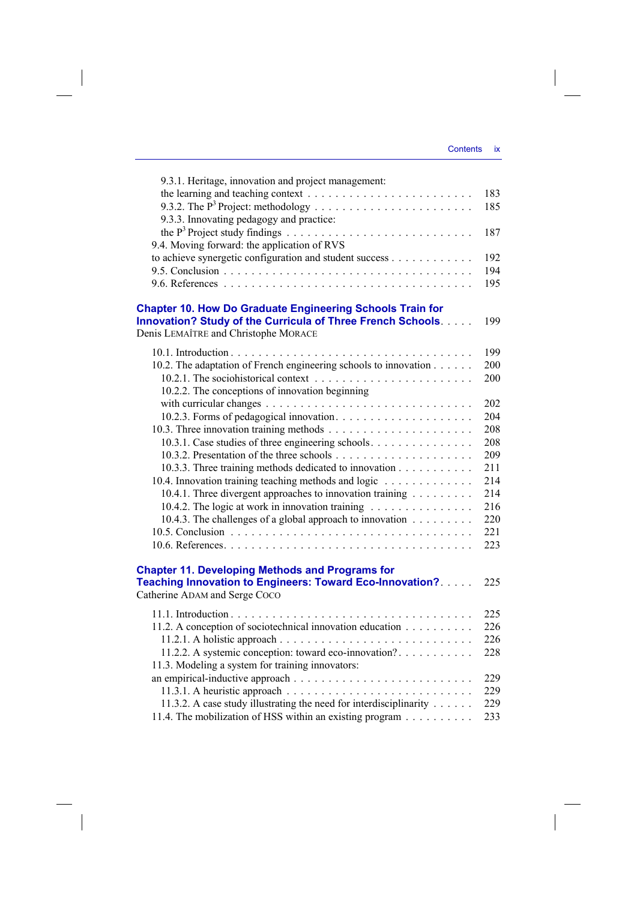$\begin{array}{c} \hline \end{array}$ 

| 9.3.1. Heritage, innovation and project management:                           |     |
|-------------------------------------------------------------------------------|-----|
|                                                                               | 183 |
|                                                                               | 185 |
| 9.3.3. Innovating pedagogy and practice:                                      |     |
|                                                                               | 187 |
| 9.4. Moving forward: the application of RVS                                   |     |
| to achieve synergetic configuration and student success                       | 192 |
|                                                                               | 194 |
|                                                                               | 195 |
| <b>Chapter 10. How Do Graduate Engineering Schools Train for</b>              |     |
| Innovation? Study of the Curricula of Three French Schools.                   | 199 |
| Denis LEMAÎTRE and Christophe MORACE                                          |     |
|                                                                               | 199 |
|                                                                               | 200 |
| 10.2. The adaptation of French engineering schools to innovation              | 200 |
| 10.2.2. The conceptions of innovation beginning                               |     |
|                                                                               | 202 |
|                                                                               | 204 |
|                                                                               | 208 |
| 10.3.1. Case studies of three engineering schools.                            | 208 |
|                                                                               | 209 |
| 10.3.3. Three training methods dedicated to innovation                        | 211 |
| 10.4. Innovation training teaching methods and logic                          | 214 |
| 10.4.1. Three divergent approaches to innovation training                     | 214 |
| 10.4.2. The logic at work in innovation training                              | 216 |
| 10.4.3. The challenges of a global approach to innovation $\dots \dots \dots$ | 220 |
|                                                                               | 221 |
|                                                                               | 223 |
|                                                                               |     |
| <b>Chapter 11. Developing Methods and Programs for</b>                        |     |
| Teaching Innovation to Engineers: Toward Eco-Innovation?                      | 225 |
| Catherine ADAM and Serge Coco                                                 |     |
|                                                                               | 225 |
| 11.2. A conception of sociotechnical innovation education                     | 226 |
|                                                                               | 226 |
| 11.2.2. A systemic conception: toward eco-innovation?                         | 228 |
| 11.3. Modeling a system for training innovators:                              |     |
|                                                                               | 229 |
|                                                                               | 229 |
| 11.3.2. A case study illustrating the need for interdisciplinarity            | 229 |
| 11.4. The mobilization of HSS within an existing program $\dots \dots \dots$  | 233 |

 $\overline{\phantom{a}}$ 

 $\begin{array}{c} \hline \end{array}$